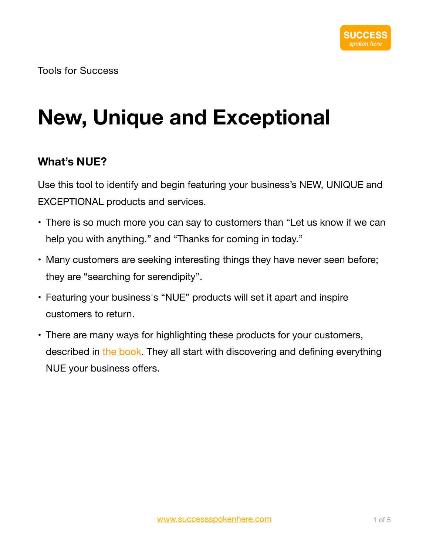# **New, Unique and Exceptional**

### **What's NUE?**

Use this tool to identify and begin featuring your business's NEW, UNIQUE and EXCEPTIONAL products and services.

- There is so much more you can say to customers than "Let us know if we can help you with anything." and "Thanks for coming in today."
- Many customers are seeking interesting things they have never seen before; they are "searching for serendipity".
- Featuring your business's "NUE" products will set it apart and inspire customers to return.
- There are many ways for highlighting these products for your customers, described in [the book.](https://www.successspokenhere.com) They all start with discovering and defining everything NUE your business offers.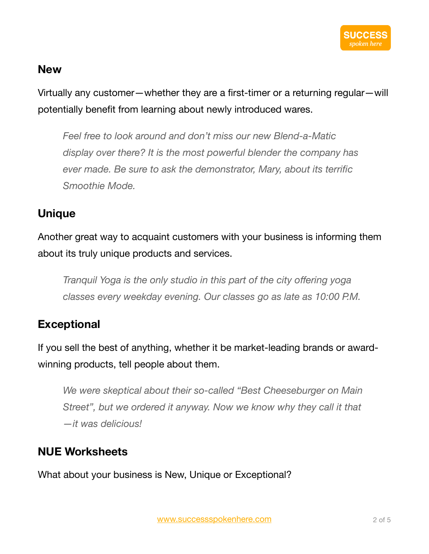#### **New**

Virtually any customer—whether they are a first-timer or a returning regular—will potentially benefit from learning about newly introduced wares.

*Feel free to look around and don't miss our new Blend-a-Matic display over there? It is the most powerful blender the company has ever made. Be sure to ask the demonstrator, Mary, about its terrific Smoothie Mode.* 

#### **Unique**

Another great way to acquaint customers with your business is informing them about its truly unique products and services.

*Tranquil Yoga is the only studio in this part of the city offering yoga classes every weekday evening. Our classes go as late as 10:00 P.M.* 

### **Exceptional**

If you sell the best of anything, whether it be market-leading brands or awardwinning products, tell people about them.

*We were skeptical about their so-called "Best Cheeseburger on Main Street", but we ordered it anyway. Now we know why they call it that —it was delicious!* 

### **NUE Worksheets**

What about your business is New, Unique or Exceptional?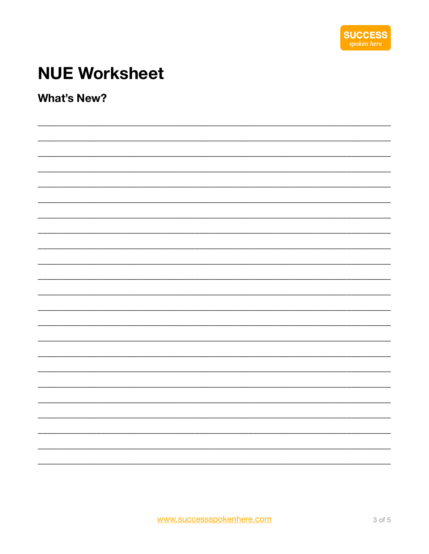

# **NUE Worksheet**

**What's New?**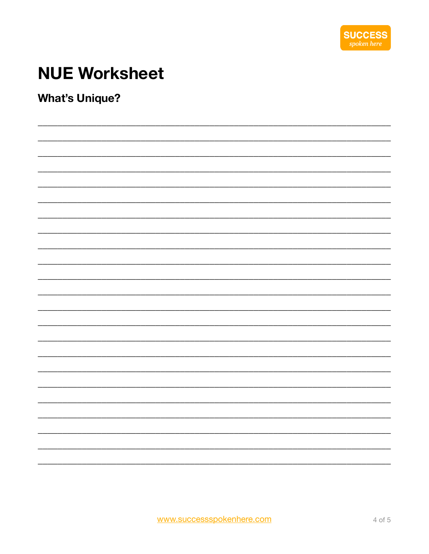

# **NUE Worksheet**

**What's Unique?**